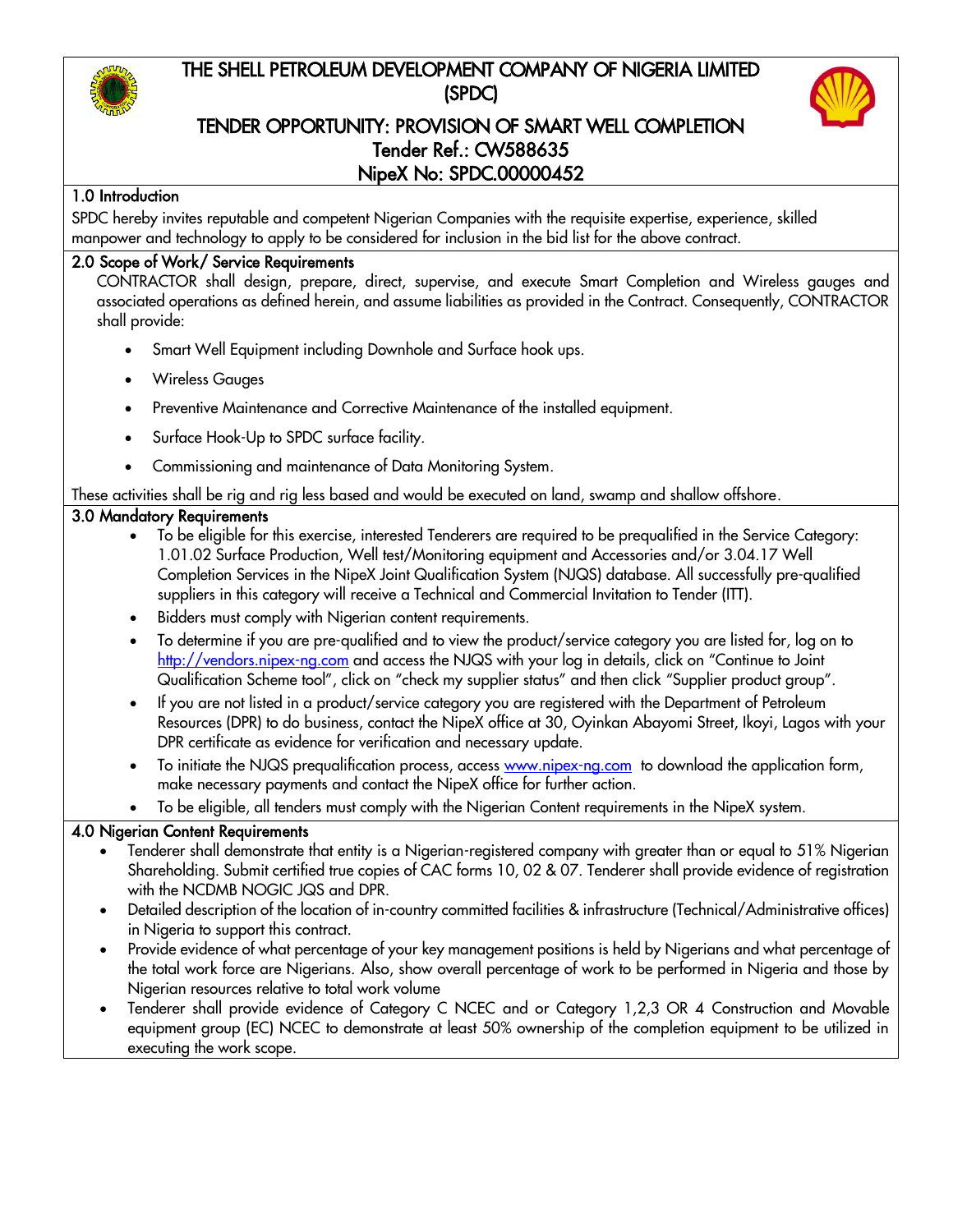# THE SHELL PETROLEUM DEVELOPMENT COMPANY OF NIGERIA LIMITED (SPDC)



## TENDER OPPORTUNITY: PROVISION OF SMART WELL COMPLETION Tender Ref.: CW588635 NipeX No: SPDC.00000452

#### 1.0 Introduction

SPDC hereby invites reputable and competent Nigerian Companies with the requisite expertise, experience, skilled manpower and technology to apply to be considered for inclusion in the bid list for the above contract.

#### 2.0 Scope of Work/ Service Requirements

CONTRACTOR shall design, prepare, direct, supervise, and execute Smart Completion and Wireless gauges and associated operations as defined herein, and assume liabilities as provided in the Contract. Consequently, CONTRACTOR shall provide:

- Smart Well Equipment including Downhole and Surface hook ups.
- Wireless Gauges
- Preventive Maintenance and Corrective Maintenance of the installed equipment.
- Surface Hook-Up to SPDC surface facility.
- Commissioning and maintenance of Data Monitoring System.

These activities shall be rig and rig less based and would be executed on land, swamp and shallow offshore.

#### 3.0 Mandatory Requirements

- To be eligible for this exercise, interested Tenderers are required to be prequalified in the Service Category: 1.01.02 Surface Production, Well test/Monitoring equipment and Accessories and/or 3.04.17 Well Completion Services in the NipeX Joint Qualification System (NJQS) database. All successfully pre-qualified suppliers in this category will receive a Technical and Commercial Invitation to Tender (ITT).
- Bidders must comply with Nigerian content requirements.
- To determine if you are pre-qualified and to view the product/service category you are listed for, log on to [http://vendors.nipex-ng.com](http://vendors.nipex-ng.com/) and access the NJQS with your log in details, click on "Continue to Joint Qualification Scheme tool", click on "check my supplier status" and then click "Supplier product group".
- If you are not listed in a product/service category you are registered with the Department of Petroleum Resources (DPR) to do business, contact the NipeX office at 30, Oyinkan Abayomi Street, Ikoyi, Lagos with your DPR certificate as evidence for verification and necessary update.
- To initiate the NJQS prequalification process, access [www.nipex-ng.com](http://www.nipex-ng.com/) to download the application form, make necessary payments and contact the NipeX office for further action.
- To be eligible, all tenders must comply with the Nigerian Content requirements in the NipeX system.

#### 4.0 Nigerian Content Requirements

- Tenderer shall demonstrate that entity is a Nigerian-registered company with greater than or equal to 51% Nigerian Shareholding. Submit certified true copies of CAC forms 10, 02 & 07. Tenderer shall provide evidence of registration with the NCDMB NOGIC JQS and DPR.
- Detailed description of the location of in-country committed facilities & infrastructure (Technical/Administrative offices) in Nigeria to support this contract.
- Provide evidence of what percentage of your key management positions is held by Nigerians and what percentage of the total work force are Nigerians. Also, show overall percentage of work to be performed in Nigeria and those by Nigerian resources relative to total work volume
- Tenderer shall provide evidence of Category C NCEC and or Category 1,2,3 OR 4 Construction and Movable equipment group (EC) NCEC to demonstrate at least 50% ownership of the completion equipment to be utilized in executing the work scope.